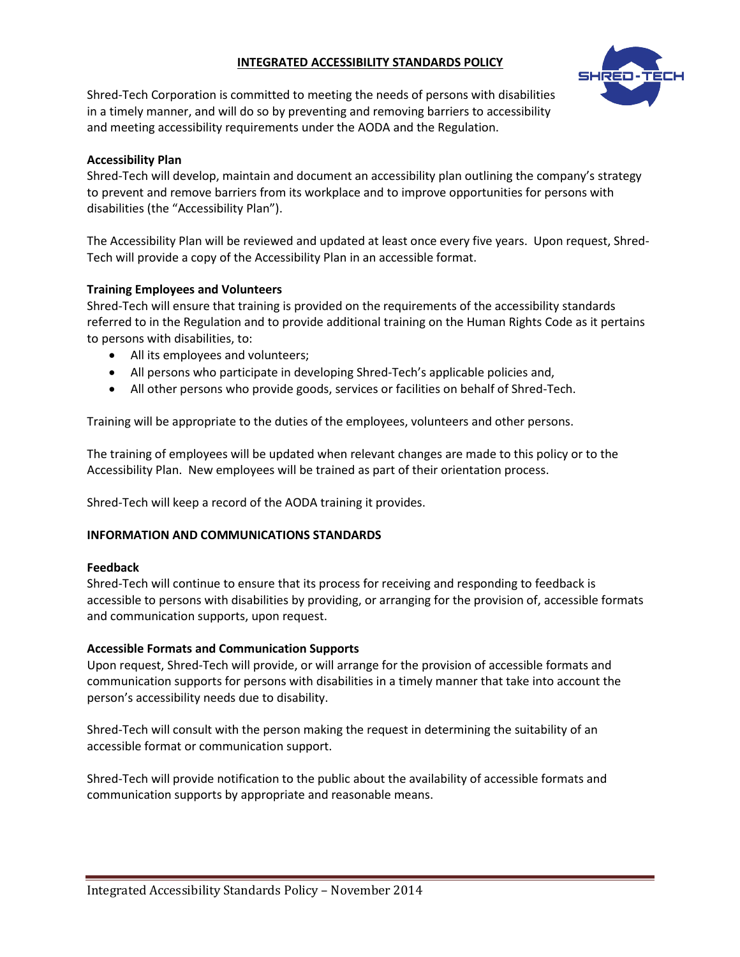# **INTEGRATED ACCESSIBILITY STANDARDS POLICY**



Shred-Tech Corporation is committed to meeting the needs of persons with disabilities in a timely manner, and will do so by preventing and removing barriers to accessibility and meeting accessibility requirements under the AODA and the Regulation.

## **Accessibility Plan**

Shred-Tech will develop, maintain and document an accessibility plan outlining the company's strategy to prevent and remove barriers from its workplace and to improve opportunities for persons with disabilities (the "Accessibility Plan").

The Accessibility Plan will be reviewed and updated at least once every five years. Upon request, Shred-Tech will provide a copy of the Accessibility Plan in an accessible format.

## **Training Employees and Volunteers**

Shred-Tech will ensure that training is provided on the requirements of the accessibility standards referred to in the Regulation and to provide additional training on the Human Rights Code as it pertains to persons with disabilities, to:

- All its employees and volunteers;
- All persons who participate in developing Shred-Tech's applicable policies and,
- All other persons who provide goods, services or facilities on behalf of Shred-Tech.

Training will be appropriate to the duties of the employees, volunteers and other persons.

The training of employees will be updated when relevant changes are made to this policy or to the Accessibility Plan. New employees will be trained as part of their orientation process.

Shred-Tech will keep a record of the AODA training it provides.

## **INFORMATION AND COMMUNICATIONS STANDARDS**

## **Feedback**

Shred-Tech will continue to ensure that its process for receiving and responding to feedback is accessible to persons with disabilities by providing, or arranging for the provision of, accessible formats and communication supports, upon request.

## **Accessible Formats and Communication Supports**

Upon request, Shred-Tech will provide, or will arrange for the provision of accessible formats and communication supports for persons with disabilities in a timely manner that take into account the person's accessibility needs due to disability.

Shred-Tech will consult with the person making the request in determining the suitability of an accessible format or communication support.

Shred-Tech will provide notification to the public about the availability of accessible formats and communication supports by appropriate and reasonable means.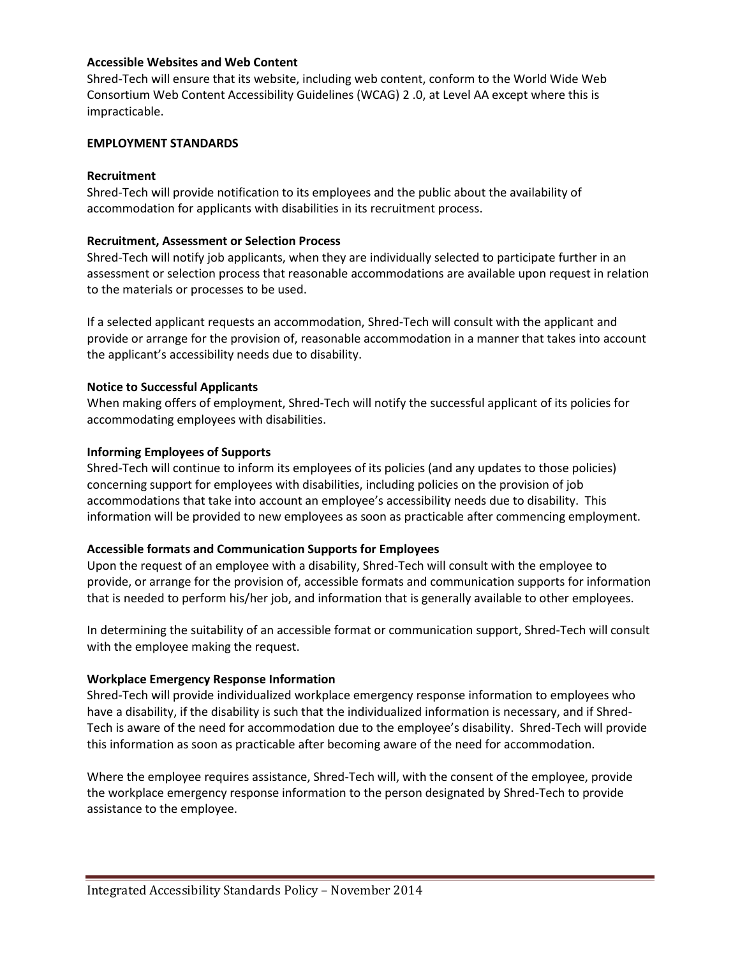## **Accessible Websites and Web Content**

Shred-Tech will ensure that its website, including web content, conform to the World Wide Web Consortium Web Content Accessibility Guidelines (WCAG) 2 .0, at Level AA except where this is impracticable.

#### **EMPLOYMENT STANDARDS**

### **Recruitment**

Shred-Tech will provide notification to its employees and the public about the availability of accommodation for applicants with disabilities in its recruitment process.

#### **Recruitment, Assessment or Selection Process**

Shred-Tech will notify job applicants, when they are individually selected to participate further in an assessment or selection process that reasonable accommodations are available upon request in relation to the materials or processes to be used.

If a selected applicant requests an accommodation, Shred-Tech will consult with the applicant and provide or arrange for the provision of, reasonable accommodation in a manner that takes into account the applicant's accessibility needs due to disability.

#### **Notice to Successful Applicants**

When making offers of employment, Shred-Tech will notify the successful applicant of its policies for accommodating employees with disabilities.

#### **Informing Employees of Supports**

Shred-Tech will continue to inform its employees of its policies (and any updates to those policies) concerning support for employees with disabilities, including policies on the provision of job accommodations that take into account an employee's accessibility needs due to disability. This information will be provided to new employees as soon as practicable after commencing employment.

## **Accessible formats and Communication Supports for Employees**

Upon the request of an employee with a disability, Shred-Tech will consult with the employee to provide, or arrange for the provision of, accessible formats and communication supports for information that is needed to perform his/her job, and information that is generally available to other employees.

In determining the suitability of an accessible format or communication support, Shred-Tech will consult with the employee making the request.

## **Workplace Emergency Response Information**

Shred-Tech will provide individualized workplace emergency response information to employees who have a disability, if the disability is such that the individualized information is necessary, and if Shred-Tech is aware of the need for accommodation due to the employee's disability. Shred-Tech will provide this information as soon as practicable after becoming aware of the need for accommodation.

Where the employee requires assistance, Shred-Tech will, with the consent of the employee, provide the workplace emergency response information to the person designated by Shred-Tech to provide assistance to the employee.